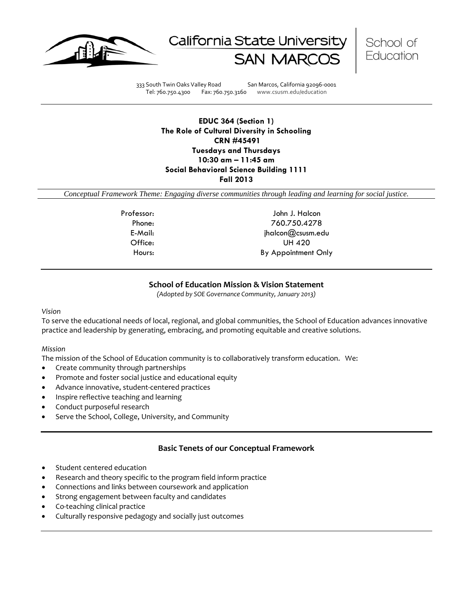





333 South Twin Oaks Valley Road San Marcos, California 92096-0001 Tel: 760.750.4300 Fax: 760.750.3160 www.csusm.edu/education

**EDUC 364 (Section 1) The Role of Cultural Diversity in Schooling CRN #45491 Tuesdays and Thursdays 10:30 am – 11:45 am Social Behavioral Science Building 1111 Fall 2013**

*Conceptual Framework Theme: Engaging diverse communities through leading and learning for social justice.*

Professor: John J. Halcon Phone: 760.750.4278 E-Mail: jhalcon@csusm.edu Office: UH 420 Hours: By Appointment Only

### **School of Education Mission & Vision Statement**

*(Adopted by SOE Governance Community, January 2013)*

#### *Vision*

To serve the educational needs of local, regional, and global communities, the School of Education advances innovative practice and leadership by generating, embracing, and promoting equitable and creative solutions.

#### *Mission*

The mission of the School of Education community is to collaboratively transform education. We:

- Create community through partnerships
- Promote and foster social justice and educational equity
- Advance innovative, student-centered practices
- Inspire reflective teaching and learning
- Conduct purposeful research
- Serve the School, College, University, and Community

### **Basic Tenets of our Conceptual Framework**

- Student centered education
- Research and theory specific to the program field inform practice
- Connections and links between coursework and application
- Strong engagement between faculty and candidates
- Co-teaching clinical practice
- Culturally responsive pedagogy and socially just outcomes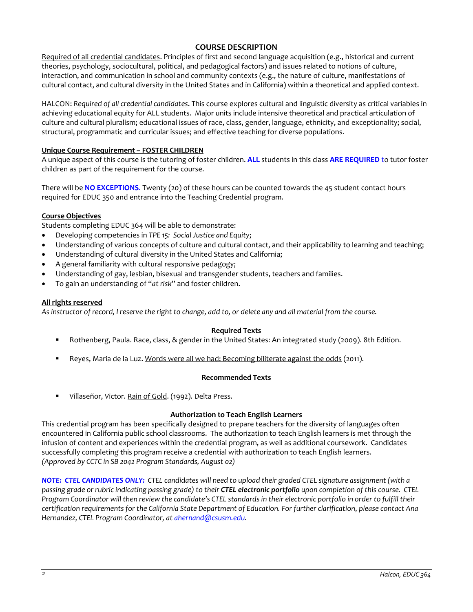## **COURSE DESCRIPTION**

Required of all credential candidates. Principles of first and second language acquisition (e.g., historical and current theories, psychology, sociocultural, political, and pedagogical factors) and issues related to notions of culture, interaction, and communication in school and community contexts (e.g., the nature of culture, manifestations of cultural contact, and cultural diversity in the United States and in California) within a theoretical and applied context.

HALCON: *Required of all credential candidates*. This course explores cultural and linguistic diversity as critical variables in achieving educational equity for ALL students. Major units include intensive theoretical and practical articulation of culture and cultural pluralism; educational issues of race, class, gender, language, ethnicity, and exceptionality; social, structural, programmatic and curricular issues; and effective teaching for diverse populations.

### **Unique Course Requirement – FOSTER CHILDREN**

A unique aspect of this course is the tutoring of foster children. **ALL** students in this class **ARE REQUIRED** to tutor foster children as part of the requirement for the course.

There will be **NO EXCEPTIONS**. Twenty (20) of these hours can be counted towards the 45 student contact hours required for EDUC 350 and entrance into the Teaching Credential program.

### **Course Objectives**

Students completing EDUC 364 will be able to demonstrate:

- Developing competencies in *TPE 15: Social Justice and Equity*;
- Understanding of various concepts of culture and cultural contact, and their applicability to learning and teaching;
- Understanding of cultural diversity in the United States and California;
- A general familiarity with cultural responsive pedagogy;
- Understanding of gay, lesbian, bisexual and transgender students, teachers and families.
- To gain an understanding of "*at risk*" and foster children.

### **All rights reserved**

*As instructor of record, I reserve the right to change, add to, or delete any and all material from the course.*

### **Required Texts**

- Rothenberg, Paula. Race, class, & gender in the United States: An integrated study (2009). 8th Edition.
- Reyes, Maria de la Luz. Words were all we had: Becoming biliterate against the odds (2011).

### **Recommended Texts**

Villaseñor, Victor. Rain of Gold. (1992). Delta Press.

### **Authorization to Teach English Learners**

This credential program has been specifically designed to prepare teachers for the diversity of languages often encountered in California public school classrooms. The authorization to teach English learners is met through the infusion of content and experiences within the credential program, as well as additional coursework. Candidates successfully completing this program receive a credential with authorization to teach English learners. *(Approved by CCTC in SB 2042 Program Standards, August 02)*

*NOTE: CTEL CANDIDATES ONLY: CTEL candidates will need to upload their graded CTEL signature assignment (with a passing grade or rubric indicating passing grade) to their CTEL electronic portfolio upon completion of this course. CTEL Program Coordinator will then review the candidate's CTEL standards in their electronic portfolio in order to fulfill their certification requirements for the California State Department of Education. For further clarification*, *please contact Ana Hernandez, CTEL Program Coordinator, a[t ahernand@csusm.edu.](mailto:ahernand@csusm.edu)*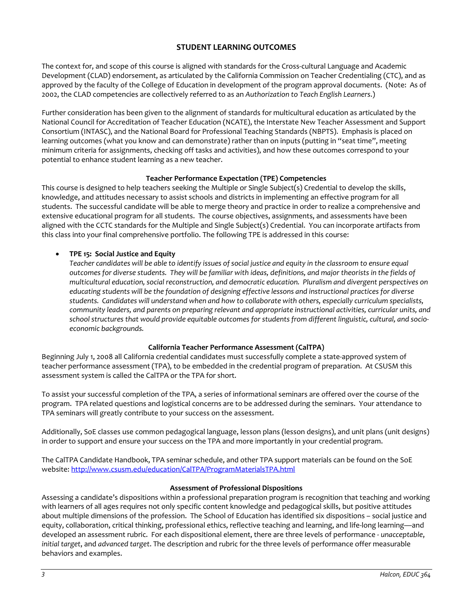# **STUDENT LEARNING OUTCOMES**

The context for, and scope of this course is aligned with standards for the Cross-cultural Language and Academic Development (CLAD) endorsement, as articulated by the California Commission on Teacher Credentialing (CTC), and as approved by the faculty of the College of Education in development of the program approval documents. (Note: As of 2002, the CLAD competencies are collectively referred to as an *Authorization to Teach English Learners*.)

Further consideration has been given to the alignment of standards for multicultural education as articulated by the National Council for Accreditation of Teacher Education (NCATE), the Interstate New Teacher Assessment and Support Consortium (INTASC), and the National Board for Professional Teaching Standards (NBPTS). Emphasis is placed on learning outcomes (what you know and can demonstrate) rather than on inputs (putting in "seat time", meeting minimum criteria for assignments, checking off tasks and activities), and how these outcomes correspond to your potential to enhance student learning as a new teacher.

### **Teacher Performance Expectation (TPE) Competencies**

This course is designed to help teachers seeking the Multiple or Single Subject(s) Credential to develop the skills, knowledge, and attitudes necessary to assist schools and districts in implementing an effective program for all students. The successful candidate will be able to merge theory and practice in order to realize a comprehensive and extensive educational program for all students. The course objectives, assignments, and assessments have been aligned with the CCTC standards for the Multiple and Single Subject(s) Credential. You can incorporate artifacts from this class into your final comprehensive portfolio. The following TPE is addressed in this course:

## • **TPE 15: Social Justice and Equity**

*Teacher candidates will be able to identify issues of social justice and equity in the classroom to ensure equal outcomes for diverse students. They will be familiar with ideas, definitions, and major theorists in the fields of multicultural education, social reconstruction, and democratic education. Pluralism and divergent perspectives on educating students will be the foundation of designing effective lessons and instructional practices for diverse students. Candidates will understand when and how to collaborate with others, especially curriculum specialists, community leaders, and parents on preparing relevant and appropriate instructional activities, curricular units, and school structures that would provide equitable outcomes for students from different linguistic, cultural, and socioeconomic backgrounds.*

## **California Teacher Performance Assessment (CalTPA)**

Beginning July 1, 2008 all California credential candidates must successfully complete a state-approved system of teacher performance assessment (TPA), to be embedded in the credential program of preparation. At CSUSM this assessment system is called the CalTPA or the TPA for short.

To assist your successful completion of the TPA, a series of informational seminars are offered over the course of the program. TPA related questions and logistical concerns are to be addressed during the seminars. Your attendance to TPA seminars will greatly contribute to your success on the assessment.

Additionally, SoE classes use common pedagogical language, lesson plans (lesson designs), and unit plans (unit designs) in order to support and ensure your success on the TPA and more importantly in your credential program.

The CalTPA Candidate Handbook, TPA seminar schedule, and other TPA support materials can be found on the SoE website: <http://www.csusm.edu/education/CalTPA/ProgramMaterialsTPA.html>

### **Assessment of Professional Dispositions**

Assessing a candidate's dispositions within a professional preparation program is recognition that teaching and working with learners of all ages requires not only specific content knowledge and pedagogical skills, but positive attitudes about multiple dimensions of the profession. The School of Education has identified six dispositions – social justice and equity, collaboration, critical thinking, professional ethics, reflective teaching and learning, and life-long learning—and developed an assessment rubric. For each dispositional element, there are three levels of performance - *unacceptable*, *initial target*, and *advanced target*. The description and rubric for the three levels of performance offer measurable behaviors and examples.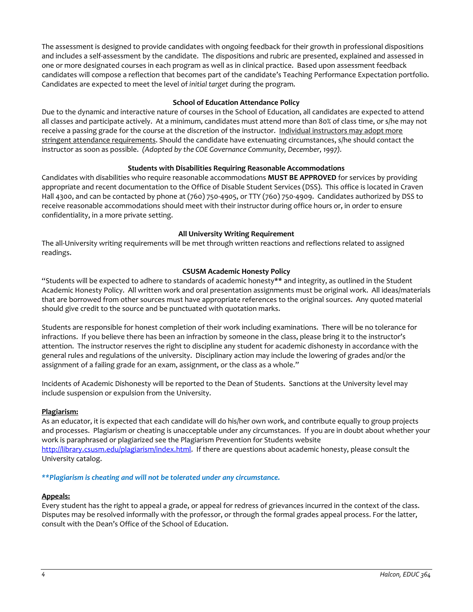The assessment is designed to provide candidates with ongoing feedback for their growth in professional dispositions and includes a self-assessment by the candidate. The dispositions and rubric are presented, explained and assessed in one or more designated courses in each program as well as in clinical practice. Based upon assessment feedback candidates will compose a reflection that becomes part of the candidate's Teaching Performance Expectation portfolio. Candidates are expected to meet the level of *initial target* during the program.

### **School of Education Attendance Policy**

Due to the dynamic and interactive nature of courses in the School of Education, all candidates are expected to attend all classes and participate actively. At a minimum, candidates must attend more than 80% of class time, or s/he may not receive a passing grade for the course at the discretion of the instructor. Individual instructors may adopt more stringent attendance requirements. Should the candidate have extenuating circumstances, s/he should contact the instructor as soon as possible. *(Adopted by the COE Governance Community, December, 1997).*

### **Students with Disabilities Requiring Reasonable Accommodations**

Candidates with disabilities who require reasonable accommodations **MUST BE APPROVED** for services by providing appropriate and recent documentation to the Office of Disable Student Services (DSS). This office is located in Craven Hall 4300, and can be contacted by phone at (760) 750-4905, or TTY (760) 750-4909. Candidates authorized by DSS to receive reasonable accommodations should meet with their instructor during office hours or, in order to ensure confidentiality, in a more private setting.

### **All University Writing Requirement**

The all-University writing requirements will be met through written reactions and reflections related to assigned readings.

### **CSUSM Academic Honesty Policy**

"Students will be expected to adhere to standards of academic honesty\*\* and integrity, as outlined in the Student Academic Honesty Policy. All written work and oral presentation assignments must be original work. All ideas/materials that are borrowed from other sources must have appropriate references to the original sources. Any quoted material should give credit to the source and be punctuated with quotation marks.

Students are responsible for honest completion of their work including examinations. There will be no tolerance for infractions. If you believe there has been an infraction by someone in the class, please bring it to the instructor's attention. The instructor reserves the right to discipline any student for academic dishonesty in accordance with the general rules and regulations of the university. Disciplinary action may include the lowering of grades and/or the assignment of a failing grade for an exam, assignment, or the class as a whole."

Incidents of Academic Dishonesty will be reported to the Dean of Students. Sanctions at the University level may include suspension or expulsion from the University.

### **Plagiarism:**

As an educator, it is expected that each candidate will do his/her own work, and contribute equally to group projects and processes. Plagiarism or cheating is unacceptable under any circumstances. If you are in doubt about whether your work is paraphrased or plagiarized see the Plagiarism Prevention for Students website [http://library.csusm.edu/plagiarism/index.html.](http://library.csusm.edu/plagiarism/index.html) If there are questions about academic honesty, please consult the University catalog.

### *\*\*Plagiarism is cheating and will not be tolerated under any circumstance.*

### **Appeals:**

Every student has the right to appeal a grade, or appeal for redress of grievances incurred in the context of the class. Disputes may be resolved informally with the professor, or through the formal grades appeal process. For the latter, consult with the Dean's Office of the School of Education.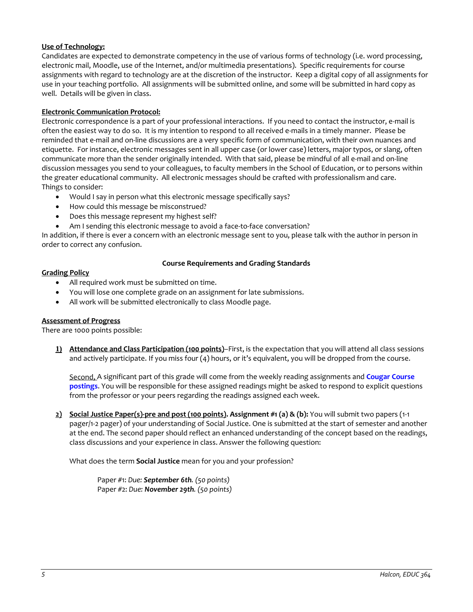### **Use of Technology:**

Candidates are expected to demonstrate competency in the use of various forms of technology (i.e. word processing, electronic mail, Moodle, use of the Internet, and/or multimedia presentations). Specific requirements for course assignments with regard to technology are at the discretion of the instructor. Keep a digital copy of all assignments for use in your teaching portfolio. All assignments will be submitted online, and some will be submitted in hard copy as well. Details will be given in class.

### **Electronic Communication Protocol:**

Electronic correspondence is a part of your professional interactions. If you need to contact the instructor, e-mail is often the easiest way to do so. It is my intention to respond to all received e-mails in a timely manner. Please be reminded that e-mail and on-line discussions are a very specific form of communication, with their own nuances and etiquette. For instance, electronic messages sent in all upper case (or lower case) letters, major typos, or slang, often communicate more than the sender originally intended. With that said, please be mindful of all e-mail and on-line discussion messages you send to your colleagues, to faculty members in the School of Education, or to persons within the greater educational community. All electronic messages should be crafted with professionalism and care. Things to consider:

- Would I say in person what this electronic message specifically says?
- How could this message be misconstrued?
- Does this message represent my highest self?
- Am I sending this electronic message to avoid a face-to-face conversation?

In addition, if there is ever a concern with an electronic message sent to you, please talk with the author in person in order to correct any confusion.

#### **Grading Policy**

### **Course Requirements and Grading Standards**

- All required work must be submitted on time.
- You will lose one complete grade on an assignment for late submissions.
- All work will be submitted electronically to class Moodle page.

### **Assessment of Progress**

There are 1000 points possible:

**1) Attendance and Class Participation (100 points)**–First, is the expectation that you will attend all class sessions and actively participate. If you miss four (4) hours, or it's equivalent, you will be dropped from the course.

Second, A significant part of this grade will come from the weekly reading assignments and **Cougar Course postings**. You will be responsible for these assigned readings might be asked to respond to explicit questions from the professor or your peers regarding the readings assigned each week.

**2) Social Justice Paper(s)-pre and post (100 points). Assignment #1 (a) & (b):** You will submit two papers (1-1 pager/1-2 pager) of your understanding of Social Justice. One is submitted at the start of semester and another at the end. The second paper should reflect an enhanced understanding of the concept based on the readings, class discussions and your experience in class. Answer the following question:

What does the term **Social Justice** mean for you and your profession?

Paper #1: *Due: September 6th. (50 points)* Paper #2: *Due: November 29th. (50 points)*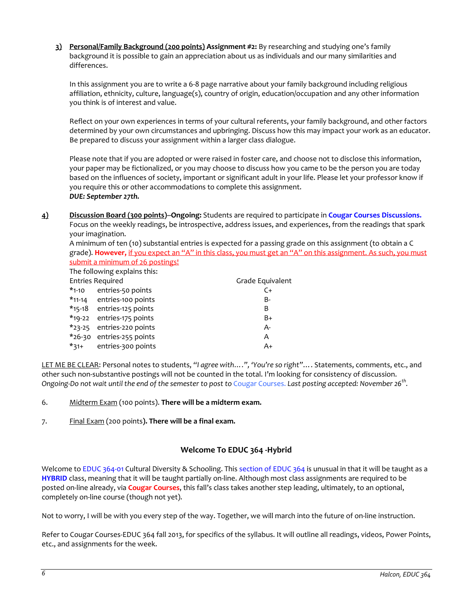**3) Personal/Family Background (200 points) Assignment #2:** By researching and studying one's family background it is possible to gain an appreciation about us as individuals and our many similarities and differences.

In this assignment you are to write a 6-8 page narrative about your family background including religious affiliation, ethnicity, culture, language(s), country of origin, education/occupation and any other information you think is of interest and value.

Reflect on your own experiences in terms of your cultural referents, your family background, and other factors determined by your own circumstances and upbringing. Discuss how this may impact your work as an educator. Be prepared to discuss your assignment within a larger class dialogue.

Please note that if you are adopted or were raised in foster care, and choose not to disclose this information, your paper may be fictionalized, or you may choose to discuss how you came to be the person you are today based on the influences of society, important or significant adult in your life. Please let your professor know if you require this or other accommodations to complete this assignment. *DUE: September 27th.*

**4) Discussion Board (300 points)--Ongoing:** Students are required to participate in **Cougar Courses Discussions.** Focus on the weekly readings, be introspective, address issues, and experiences, from the readings that spark your imagination.

A minimum of ten (10) substantial entries is expected for a passing grade on this assignment (to obtain a C grade). **However,** if you expect an "A" in this class, you must get an "A" on this assignment. As such, you must submit a minimum of 26 postings!

The following explains this:

| <b>Entries Required</b>   | Grade Equivalent |
|---------------------------|------------------|
| *1-10 entries-50 points   | C+               |
| *11-14 entries-100 points | B-               |
| *15-18 entries-125 points | B                |
| *19-22 entries-175 points | B+               |
| *23-25 entries-220 points | $A -$            |
| *26-30 entries-255 points | Α                |
| *31+ entries-300 points   | $A+$             |
|                           |                  |

LET ME BE CLEAR: Personal notes to students, *"I agree with….", 'You're so right"*…. Statements, comments, etc., and other such non-substantive postings will not be counted in the total. I'm looking for consistency of discussion. *Ongoing-Do not wait until the end of the semester to post to* Cougar Courses. *Last posting accepted: November 26th.*

- 6. Midterm Exam (100 points). **There will be a midterm exam.**
- 7. Final Exam (200 points**). There will be a final exam.**

## **Welcome To EDUC 364 -Hybrid**

Welcome to EDUC 364-01 Cultural Diversity & Schooling. This section of EDUC 364 is unusual in that it will be taught as a **HYBRID** class, meaning that it will be taught partially on-line. Although most class assignments are required to be posted on-line already, via **Cougar Courses**, this fall's class takes another step leading, ultimately, to an optional, completely on-line course (though not yet).

Not to worry, I will be with you every step of the way. Together, we will march into the future of on-line instruction.

Refer to Cougar Courses-EDUC 364 fall 2013, for specifics of the syllabus. It will outline all readings, videos, Power Points, etc., and assignments for the week.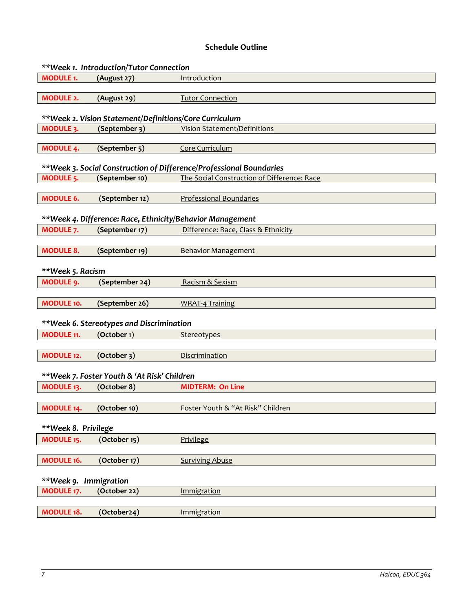# **Schedule Outline**

| **Week 1. Introduction/Tutor Connection                   |                                                        |                                                                     |  |  |
|-----------------------------------------------------------|--------------------------------------------------------|---------------------------------------------------------------------|--|--|
| <b>MODULE 1.</b>                                          | (August 27)                                            | Introduction                                                        |  |  |
|                                                           |                                                        |                                                                     |  |  |
| <b>MODULE 2.</b>                                          | (August 29)                                            | <b>Tutor Connection</b>                                             |  |  |
|                                                           |                                                        |                                                                     |  |  |
|                                                           | **Week 2. Vision Statement/Definitions/Core Curriculum |                                                                     |  |  |
| MODULE 3.                                                 | (September 3)                                          | <b>Vision Statement/Definitions</b>                                 |  |  |
|                                                           |                                                        |                                                                     |  |  |
| <b>MODULE 4.</b>                                          | (September 5)                                          | Core Curriculum                                                     |  |  |
|                                                           |                                                        |                                                                     |  |  |
|                                                           |                                                        | **Week 3. Social Construction of Difference/Professional Boundaries |  |  |
| <b>MODULE 5.</b>                                          | (September 10)                                         | The Social Construction of Difference: Race                         |  |  |
|                                                           |                                                        |                                                                     |  |  |
| <b>MODULE 6.</b>                                          | (September 12)                                         | <b>Professional Boundaries</b>                                      |  |  |
|                                                           |                                                        |                                                                     |  |  |
| **Week 4. Difference: Race, Ethnicity/Behavior Management |                                                        |                                                                     |  |  |
| <b>MODULE 7.</b>                                          | (September 17)                                         | Difference: Race, Class & Ethnicity                                 |  |  |
|                                                           |                                                        |                                                                     |  |  |
| <b>MODULE 8.</b>                                          | (September 19)                                         | <b>Behavior Management</b>                                          |  |  |
|                                                           |                                                        |                                                                     |  |  |
| **Week 5. Racism                                          |                                                        |                                                                     |  |  |
| <b>MODULE 9.</b>                                          | (September 24)                                         | Racism & Sexism                                                     |  |  |
|                                                           |                                                        |                                                                     |  |  |
| <b>MODULE 10.</b>                                         | (September 26)                                         | <b>WRAT-4 Training</b>                                              |  |  |
|                                                           |                                                        |                                                                     |  |  |
|                                                           | **Week 6. Stereotypes and Discrimination               |                                                                     |  |  |
| <b>MODULE 11.</b>                                         | (October 1)                                            | Stereotypes                                                         |  |  |
|                                                           |                                                        |                                                                     |  |  |
| MODULE 12.                                                | (October 3)                                            | Discrimination                                                      |  |  |
|                                                           |                                                        |                                                                     |  |  |
| **Week 7. Foster Youth & 'At Risk' Children               |                                                        |                                                                     |  |  |
| MODULE 13.                                                | (October 8)                                            | <b>MIDTERM: On Line</b>                                             |  |  |
|                                                           |                                                        |                                                                     |  |  |
| MODULE 14.                                                | (October 10)                                           | Foster Youth & "At Risk" Children                                   |  |  |
|                                                           |                                                        |                                                                     |  |  |
| **Week 8. Privilege                                       |                                                        |                                                                     |  |  |
| <b>MODULE 15.</b>                                         | (October 15)                                           | Privilege                                                           |  |  |
|                                                           |                                                        |                                                                     |  |  |
| MODULE 16.                                                | (October 17)                                           | <b>Surviving Abuse</b>                                              |  |  |
|                                                           |                                                        |                                                                     |  |  |
| **Week 9. Immigration                                     |                                                        |                                                                     |  |  |
| <b>MODULE 17.</b>                                         | (October 22)                                           | Immigration                                                         |  |  |
|                                                           |                                                        |                                                                     |  |  |
| <b>MODULE 18.</b>                                         | (October24)                                            | Immigration                                                         |  |  |